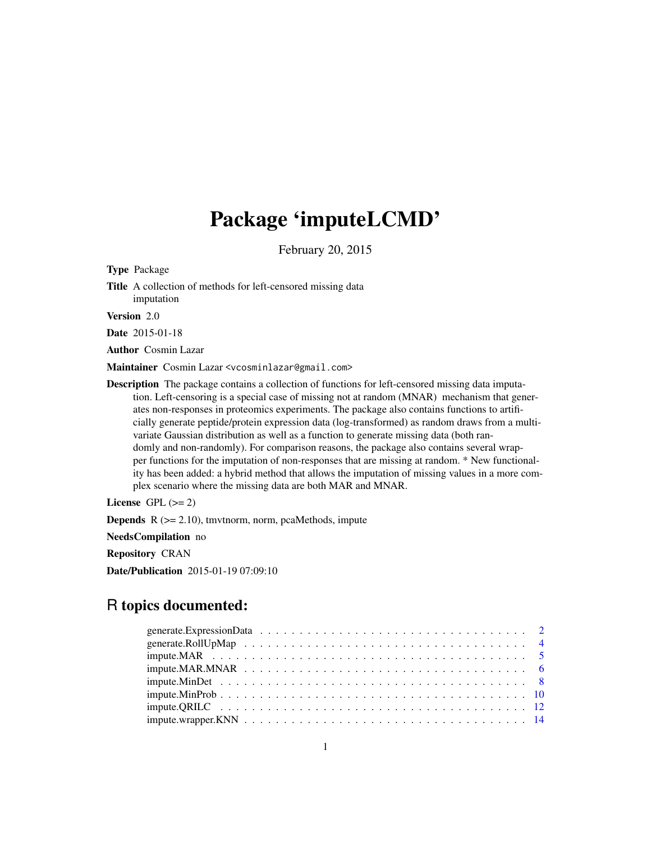# Package 'imputeLCMD'

February 20, 2015

<span id="page-0-0"></span>Type Package

Title A collection of methods for left-censored missing data imputation

Version 2.0

Date 2015-01-18

Author Cosmin Lazar

Maintainer Cosmin Lazar <vcosminlazar@gmail.com>

Description The package contains a collection of functions for left-censored missing data imputation. Left-censoring is a special case of missing not at random (MNAR) mechanism that generates non-responses in proteomics experiments. The package also contains functions to artificially generate peptide/protein expression data (log-transformed) as random draws from a multivariate Gaussian distribution as well as a function to generate missing data (both randomly and non-randomly). For comparison reasons, the package also contains several wrapper functions for the imputation of non-responses that are missing at random. \* New functionality has been added: a hybrid method that allows the imputation of missing values in a more complex scenario where the missing data are both MAR and MNAR.

License GPL  $(>= 2)$ 

**Depends**  $R$  ( $>= 2.10$ ), tmvtnorm, norm, pcaMethods, impute

NeedsCompilation no

Repository CRAN

Date/Publication 2015-01-19 07:09:10

# R topics documented: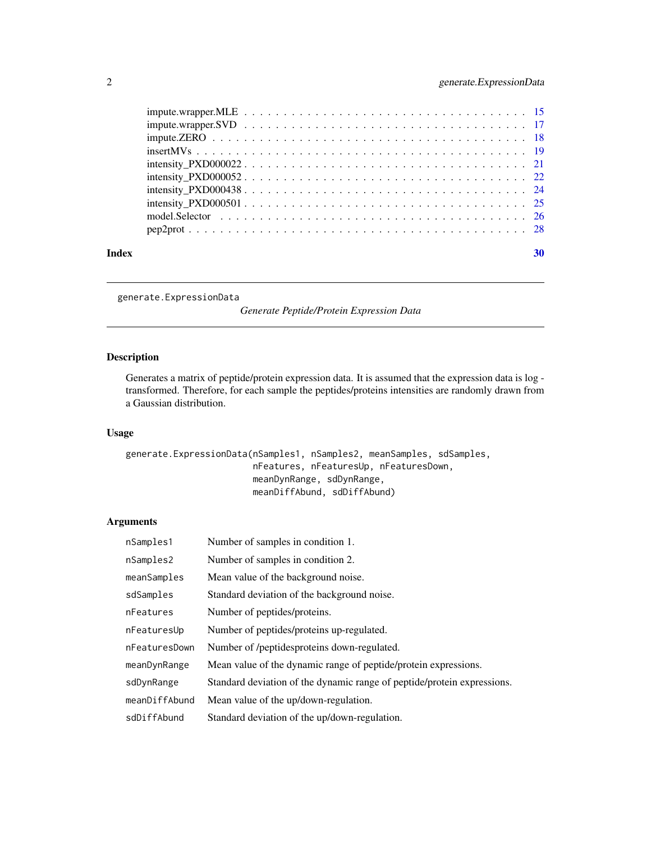<span id="page-1-0"></span>

| Index |                            | 30 |
|-------|----------------------------|----|
|       |                            |    |
|       |                            |    |
|       |                            |    |
|       |                            |    |
|       |                            |    |
|       | $intensity_P XDO000022 21$ |    |
|       |                            |    |
|       |                            |    |
|       |                            |    |
|       |                            |    |

<span id="page-1-1"></span>generate.ExpressionData

*Generate Peptide/Protein Expression Data*

# Description

Generates a matrix of peptide/protein expression data. It is assumed that the expression data is log transformed. Therefore, for each sample the peptides/proteins intensities are randomly drawn from a Gaussian distribution.

# Usage

```
generate.ExpressionData(nSamples1, nSamples2, meanSamples, sdSamples,
                        nFeatures, nFeaturesUp, nFeaturesDown,
                        meanDynRange, sdDynRange,
                        meanDiffAbund, sdDiffAbund)
```
# Arguments

| nSamples1     | Number of samples in condition 1.                                       |
|---------------|-------------------------------------------------------------------------|
| nSamples2     | Number of samples in condition 2.                                       |
| meanSamples   | Mean value of the background noise.                                     |
| sdSamples     | Standard deviation of the background noise.                             |
| nFeatures     | Number of peptides/proteins.                                            |
| nFeaturesUp   | Number of peptides/proteins up-regulated.                               |
| nFeaturesDown | Number of /peptidesproteins down-regulated.                             |
| meanDynRange  | Mean value of the dynamic range of peptide/protein expressions.         |
| sdDynRange    | Standard deviation of the dynamic range of peptide/protein expressions. |
| meanDiffAbund | Mean value of the up/down-regulation.                                   |
| sdDiffAbund   | Standard deviation of the up/down-regulation.                           |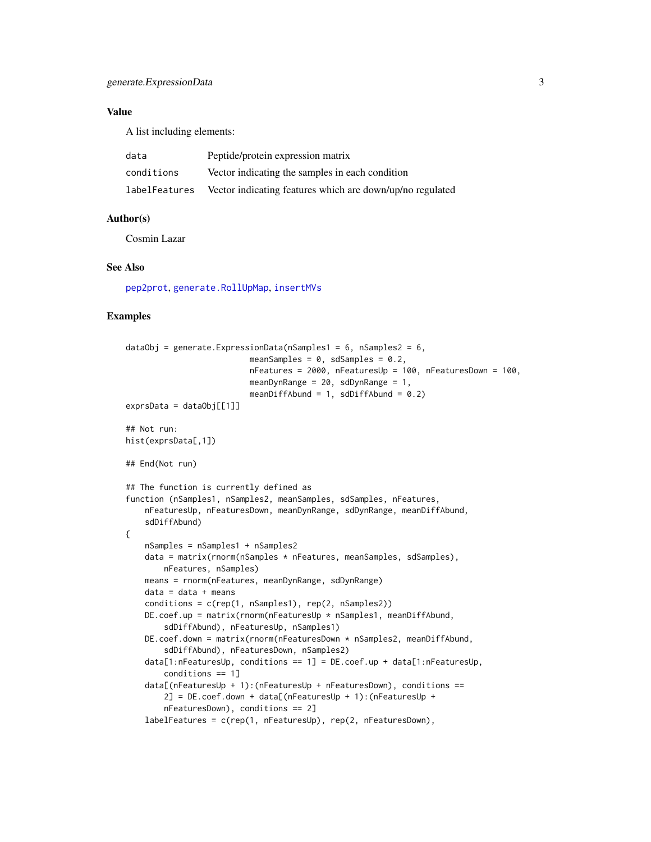# <span id="page-2-0"></span>Value

A list including elements:

| data          | Peptide/protein expression matrix                         |
|---------------|-----------------------------------------------------------|
| conditions    | Vector indicating the samples in each condition           |
| labelFeatures | Vector indicating features which are down/up/no regulated |

#### Author(s)

Cosmin Lazar

# See Also

[pep2prot](#page-27-1), [generate.RollUpMap](#page-3-1), [insertMVs](#page-18-1)

```
dataObj = generate.ExpressionData(nSamples1 = 6, nSamples2 = 6,
                          meanSamples = 0, sdSamples = 0.2,
                          nFeatures = 2000, nFeaturesUp = 100, nFeaturesDown = 100,
                          meanDynRange = 20, sdDynRange = 1,
                          meanDiffAbund = 1, sdDiffAbund = 0.2)
exprsData = dataObj[[1]]## Not run:
hist(exprsData[,1])
## End(Not run)
## The function is currently defined as
function (nSamples1, nSamples2, meanSamples, sdSamples, nFeatures,
    nFeaturesUp, nFeaturesDown, meanDynRange, sdDynRange, meanDiffAbund,
    sdDiffAbund)
{
    nSamples = nSamples1 + nSamples2
    data = matrix(rnorm(nSamples * nFeatures, meanSamples, sdSamples),
       nFeatures, nSamples)
    means = rnorm(nFeatures, meanDynRange, sdDynRange)
    data = data + meansconditions = c(rep(1, nSamples1), rep(2, nSamples2))
    DE.coef.up = matrix(rnorm(nFeaturesUp * nSamples1, meanDiffAbund,
        sdDiffAbund), nFeaturesUp, nSamples1)
    DE.coef.down = matrix(rnorm(nFeaturesDown * nSamples2, meanDiffAbund,
        sdDiffAbund), nFeaturesDown, nSamples2)
    data[1:nFeaturesUp, conditions == 1] = DE.coef.up + data[1:nFeaturesUp,
        conditions == 1]
    data[(nFeaturesUp + 1):(nFeaturesUp + nFeaturesDown), conditions ==
        2] = DE.coef.down + data[(nFeaturesUp + 1):(nFeaturesUp +
        nFeaturesDown), conditions == 2]
    labelFeatures = c(rep(1, nFeaturesUp), rep(2, nFeaturesDown),
```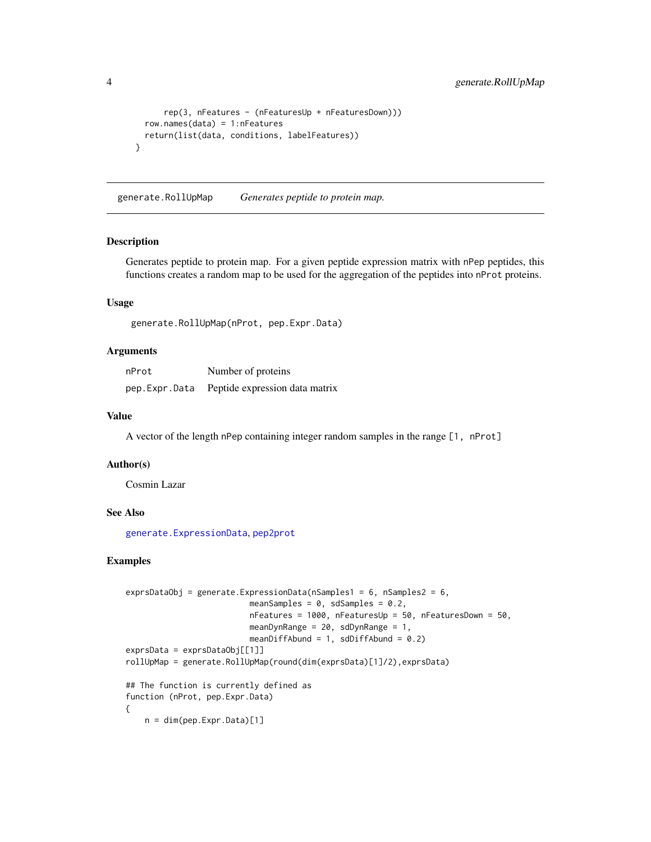```
rep(3, nFeatures - (nFeaturesUp + nFeaturesDown)))
  row.names(data) = 1:nFeatures
  return(list(data, conditions, labelFeatures))
}
```
<span id="page-3-1"></span>generate.RollUpMap *Generates peptide to protein map.*

### Description

Generates peptide to protein map. For a given peptide expression matrix with nPep peptides, this functions creates a random map to be used for the aggregation of the peptides into nProt proteins.

#### Usage

generate.RollUpMap(nProt, pep.Expr.Data)

# Arguments

| nProt | Number of proteins                           |
|-------|----------------------------------------------|
|       | pep.Expr.Data Peptide expression data matrix |

#### Value

A vector of the length nPep containing integer random samples in the range [1, nProt]

#### Author(s)

Cosmin Lazar

#### See Also

[generate.ExpressionData](#page-1-1), [pep2prot](#page-27-1)

```
exprsDataObj = generate.ExpressionData(nSamples1 = 6, nSamples2 = 6,
                          meanSamples = 0, sdSamples = 0.2,
                          nFeatures = 1000, nFeaturesUp = 50, nFeaturesDown = 50,
                          meanDynRange = 20, sdDynRange = 1,
                          meanDiffAbund = 1, sdDiffAbund = 0.2)
exprsData = exprsDataObj[[1]]
rollUpMap = generate.RollUpMap(round(dim(exprsData)[1]/2),exprsData)
## The function is currently defined as
function (nProt, pep.Expr.Data)
{
   n = dim(pep.Expr.Data)[1]
```
<span id="page-3-0"></span>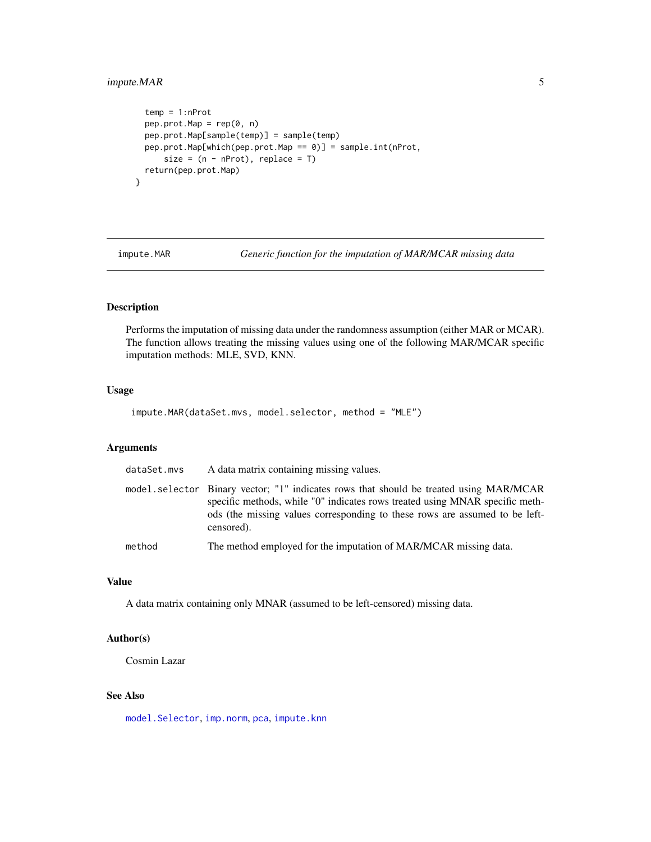# <span id="page-4-0"></span>impute.MAR 5

```
temp = 1:nProt
  pep.prot.Map = rep(0, n)pep.prot.Map[sample(temp)] = sample(temp)
 pep.prot.Map[which(pep.prot.Map == 0)] = sample.int(nProt,
      size = (n - nProt), replace = T)
  return(pep.prot.Map)
}
```
<span id="page-4-1"></span>

impute.MAR *Generic function for the imputation of MAR/MCAR missing data*

# Description

Performs the imputation of missing data under the randomness assumption (either MAR or MCAR). The function allows treating the missing values using one of the following MAR/MCAR specific imputation methods: MLE, SVD, KNN.

#### Usage

impute.MAR(dataSet.mvs, model.selector, method = "MLE")

# Arguments

| dataSet.mvs | A data matrix containing missing values.                                                                                                                                                                                                                            |
|-------------|---------------------------------------------------------------------------------------------------------------------------------------------------------------------------------------------------------------------------------------------------------------------|
|             | model.selector Binary vector; "1" indicates rows that should be treated using MAR/MCAR<br>specific methods, while "0" indicates rows treated using MNAR specific meth-<br>ods (the missing values corresponding to these rows are assumed to be left-<br>censored). |
| method      | The method employed for the imputation of MAR/MCAR missing data.                                                                                                                                                                                                    |

# Value

A data matrix containing only MNAR (assumed to be left-censored) missing data.

# Author(s)

Cosmin Lazar

# See Also

[model.Selector](#page-25-1), [imp.norm](#page-0-0), [pca](#page-0-0), [impute.knn](#page-0-0)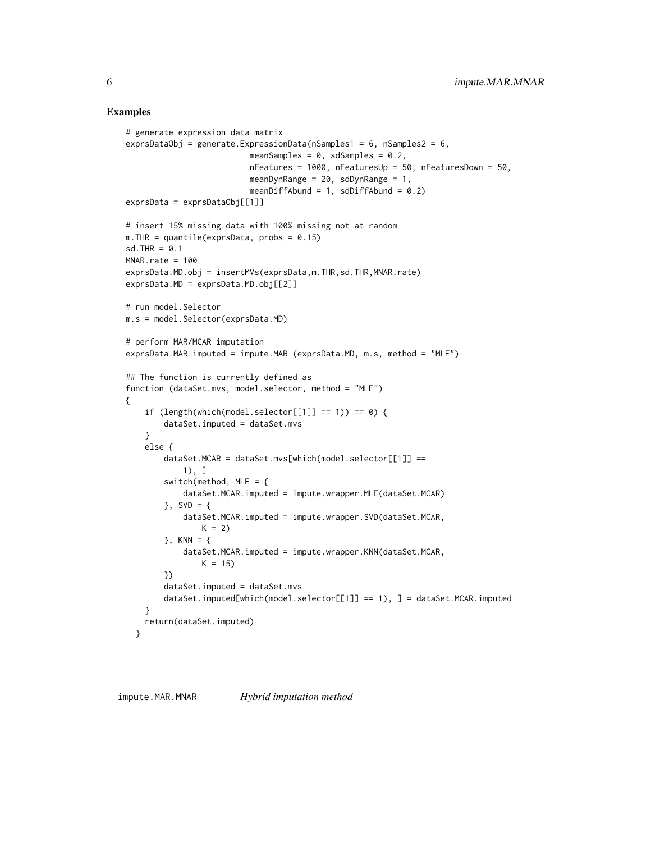#### Examples

```
# generate expression data matrix
exprsDataObj = generate.ExpressionData(nSamples1 = 6, nSamples2 = 6,
                          meanSamples = 0, sdSamples = 0.2,
                          nFeatures = 1000, nFeaturesUp = 50, nFeaturesDown = 50,
                          meanDynRange = 20, sdDynRange = 1,
                          meanDiffAbund = 1, sdDiffAbund = 0.2)
exprsData = exprsDataObj[[1]]# insert 15% missing data with 100% missing not at random
m. THR = quantile(exprsData, probs = 0.15)
sd. THR = 0.1MNAR.rate = 100
exprsData.MD.obj = insertMVs(exprsData,m.THR,sd.THR,MNAR.rate)
exprsData.MD = exprsData.MD.obj[[2]]
# run model.Selector
m.s = model.Selector(exprsData.MD)
# perform MAR/MCAR imputation
exprsData.MAR.imputed = impute.MAR (exprsData.MD, m.s, method = "MLE")
## The function is currently defined as
function (dataSet.mvs, model.selector, method = "MLE")
{
    if (length(which(model.selector[[1]] == 1)) == 0) {
       dataSet.imputed = dataSet.mvs
    }
    else {
        dataSet.MCAR = dataSet.mvs[which(model.selector[[1]] ==
            1), ]
        switch(method, MLE = {
            dataSet.MCAR.imputed = impute.wrapper.MLE(dataSet.MCAR)
        }, SVD = {
            dataSet.MCAR.imputed = impute.wrapper.SVD(dataSet.MCAR,
               K = 2}, KNN = {
            dataSet.MCAR.imputed = impute.wrapper.KNN(dataSet.MCAR,
               K = 15})
        dataSet.imputed = dataSet.mvs
        dataSet.imputed[which(model.selector[[1]] == 1), ] = dataSet.MCAR.imputed
    }
    return(dataSet.imputed)
  }
```
<span id="page-5-1"></span>impute.MAR.MNAR *Hybrid imputation method*

<span id="page-5-0"></span>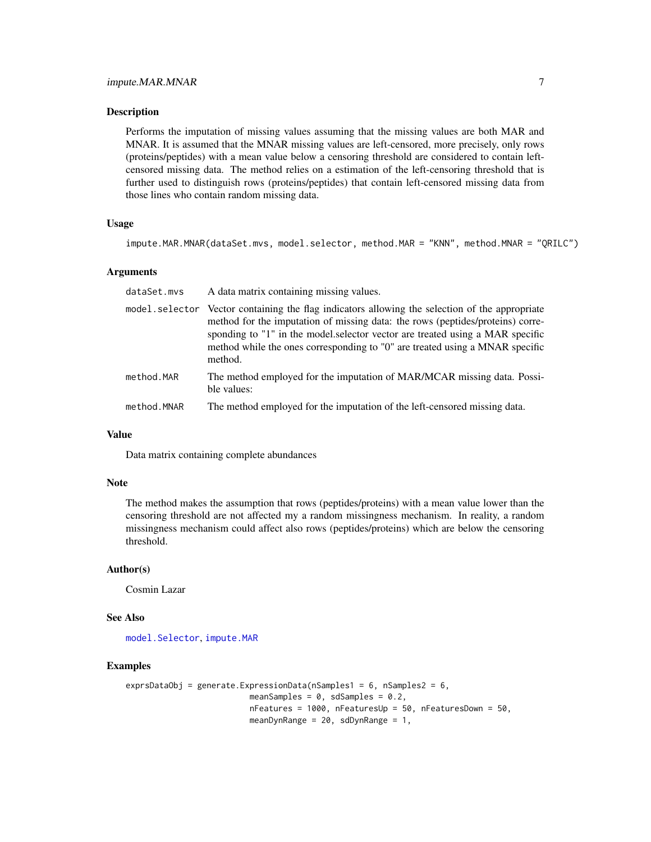#### <span id="page-6-0"></span>**Description**

Performs the imputation of missing values assuming that the missing values are both MAR and MNAR. It is assumed that the MNAR missing values are left-censored, more precisely, only rows (proteins/peptides) with a mean value below a censoring threshold are considered to contain leftcensored missing data. The method relies on a estimation of the left-censoring threshold that is further used to distinguish rows (proteins/peptides) that contain left-censored missing data from those lines who contain random missing data.

#### Usage

```
impute.MAR.MNAR(dataSet.mvs, model.selector, method.MAR = "KNN", method.MNAR = "QRILC")
```
#### Arguments

| dataSet.mvs | A data matrix containing missing values.                                                                                                                                                                                                                                                                                                                       |
|-------------|----------------------------------------------------------------------------------------------------------------------------------------------------------------------------------------------------------------------------------------------------------------------------------------------------------------------------------------------------------------|
|             | model. selector Vector containing the flag indicators allowing the selection of the appropriate<br>method for the imputation of missing data: the rows (peptides/proteins) corre-<br>sponding to "1" in the model, selector vector are treated using a MAR specific<br>method while the ones corresponding to "0" are treated using a MNAR specific<br>method. |
| method.MAR  | The method employed for the imputation of MAR/MCAR missing data. Possi-<br>ble values:                                                                                                                                                                                                                                                                         |
| method.MNAR | The method employed for the imputation of the left-censored missing data.                                                                                                                                                                                                                                                                                      |

#### Value

Data matrix containing complete abundances

#### Note

The method makes the assumption that rows (peptides/proteins) with a mean value lower than the censoring threshold are not affected my a random missingness mechanism. In reality, a random missingness mechanism could affect also rows (peptides/proteins) which are below the censoring threshold.

#### Author(s)

Cosmin Lazar

#### See Also

[model.Selector](#page-25-1), [impute.MAR](#page-4-1)

```
exprsDataObj = generate.ExpressionData(nSamples1 = 6, nSamples2 = 6,
                          meanSamples = 0, sdSamples = 0.2,
                         nFeatures = 1000, nFeaturesUp = 50, nFeaturesDown = 50,
                         meanDynRange = 20, sdDynRange = 1,
```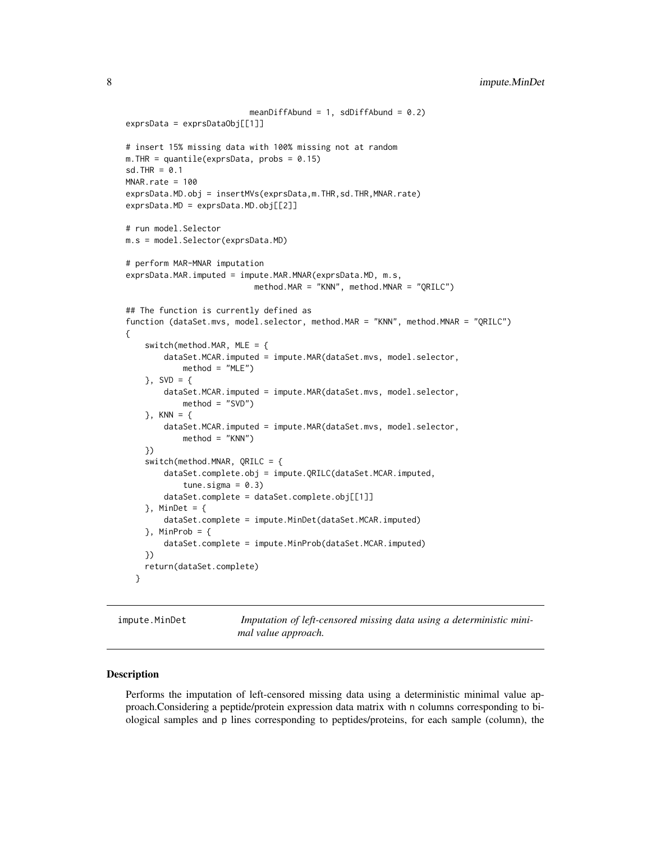```
meanDiffAbund = 1, sdDiffAbund = 0.2)
exprsData = exprsDataObj[[1]]
# insert 15% missing data with 100% missing not at random
m. THR = quantile(exprsData, probs = 0.15)
sd.THR = 0.1MNAR.rate = 100
exprsData.MD.obj = insertMVs(exprsData,m.THR,sd.THR,MNAR.rate)
exprsData.MD = exprsData.MD.obj[[2]]
# run model.Selector
m.s = model.Selector(exprsData.MD)
# perform MAR-MNAR imputation
exprsData.MAR.imputed = impute.MAR.MNAR(exprsData.MD, m.s,
                           method.MAR = "KNN", method.MNAR = "QRILC")
## The function is currently defined as
function (dataSet.mvs, model.selector, method.MAR = "KNN", method.MNAR = "QRILC")
{
    switch(method.MAR, MLE = \{dataSet.MCAR.imputed = impute.MAR(dataSet.mvs, model.selector,
            method = "MLE")}, SVD = {
        dataSet.MCAR.imputed = impute.MAR(dataSet.mvs, model.selector,
            method = "SVD")
    }, KNN = {
        dataSet.MCAR.imputed = impute.MAR(dataSet.mvs, model.selector,
            method = "KNN")
    })
    switch(method.MNAR, QRILC = {
        dataSet.complete.obj = impute.QRILC(dataSet.MCAR.imputed,
            tune.sigma = 0.3)
        dataSet.complete = dataSet.complete.obj[[1]]
    \}, MinDet = {
        dataSet.complete = impute.MinDet(dataSet.MCAR.imputed)
    }, MinProb = {dataSet.complete = impute.MinProb(dataSet.MCAR.imputed)
    })
    return(dataSet.complete)
  }
```
<span id="page-7-1"></span>impute.MinDet *Imputation of left-censored missing data using a deterministic minimal value approach.*

#### Description

Performs the imputation of left-censored missing data using a deterministic minimal value approach.Considering a peptide/protein expression data matrix with n columns corresponding to biological samples and p lines corresponding to peptides/proteins, for each sample (column), the

<span id="page-7-0"></span>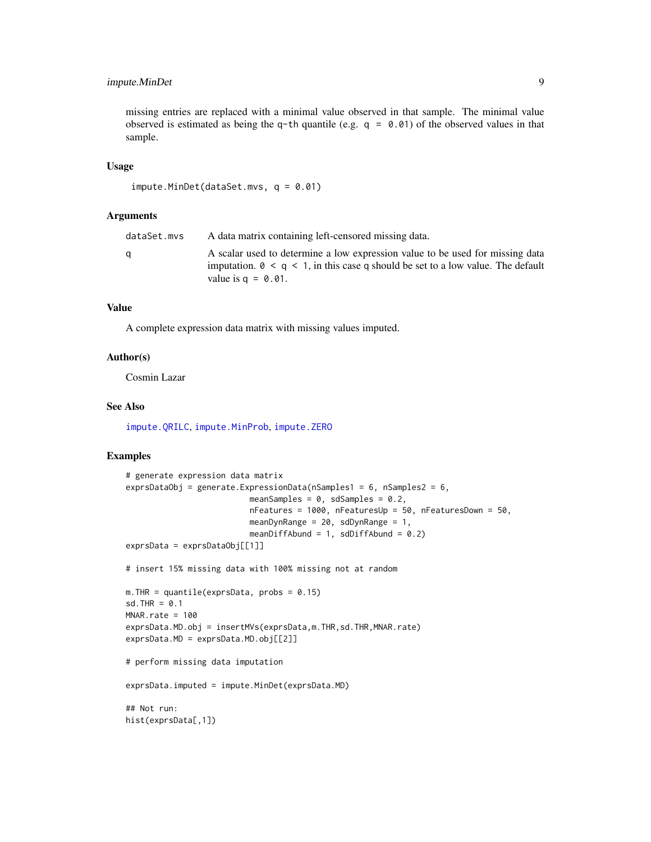# <span id="page-8-0"></span>impute.MinDet 9

missing entries are replaced with a minimal value observed in that sample. The minimal value observed is estimated as being the q-th quantile (e.g.  $q = 0.01$ ) of the observed values in that sample.

#### Usage

```
impute.MinDet(dataSet.mvs, q = 0.01)
```
#### Arguments

| dataSet.mvs | A data matrix containing left-censored missing data.                                                                                                                                               |
|-------------|----------------------------------------------------------------------------------------------------------------------------------------------------------------------------------------------------|
|             | A scalar used to determine a low expression value to be used for missing data<br>imputation. $0 \leq q \leq 1$ , in this case q should be set to a low value. The default<br>value is $q = 0.01$ . |

# Value

A complete expression data matrix with missing values imputed.

# Author(s)

Cosmin Lazar

#### See Also

[impute.QRILC](#page-11-1), [impute.MinProb](#page-9-1), [impute.ZERO](#page-17-1)

```
# generate expression data matrix
exprsDataObj = generate.ExpressionData(nSamples1 = 6, nSamples2 = 6,
                          meanSamples = 0, sdSamples = 0.2,
                          nFeatures = 1000, nFeaturesUp = 50, nFeaturesDown = 50,
                          meanDynRange = 20, sdDynRange = 1,
                          meanDiffAbund = 1, sdDiffAbund = 0.2)
exprsData = exprsDataObj[[1]]
# insert 15% missing data with 100% missing not at random
m. THR = quantile(exprsData, probs = 0.15)
sd.THR = 0.1MNAR.rate = 100
exprsData.MD.obj = insertMVs(exprsData,m.THR,sd.THR,MNAR.rate)
exprsData.MD = exprsData.MD.obj[[2]]
# perform missing data imputation
exprsData.imputed = impute.MinDet(exprsData.MD)
## Not run:
hist(exprsData[,1])
```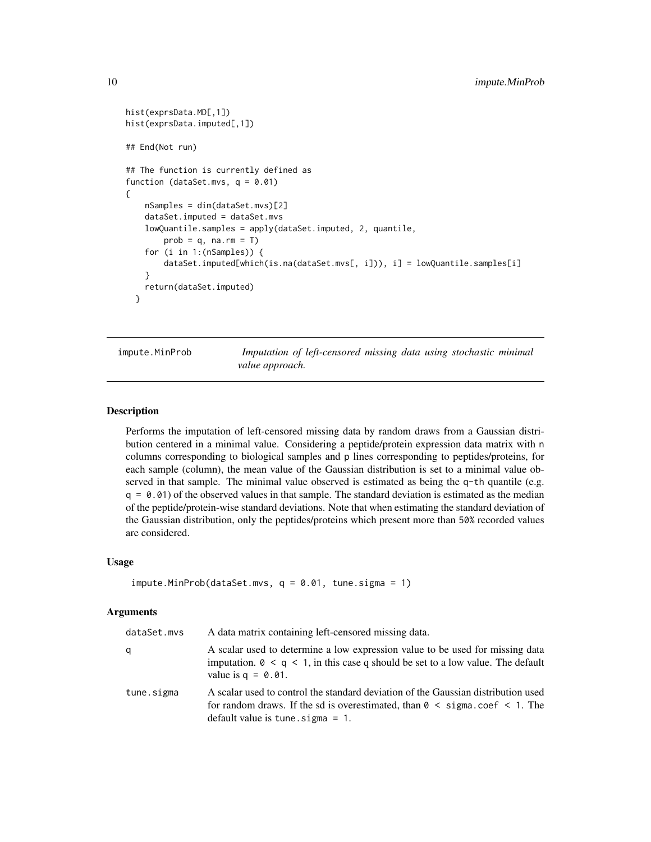```
hist(exprsData.MD[,1])
hist(exprsData.imputed[,1])
## End(Not run)
## The function is currently defined as
function (dataSet.mvs, q = 0.01)
{
   nSamples = dim(dataSet.mvs)[2]
   dataSet.imputed = dataSet.mvs
   lowQuantile.samples = apply(dataSet.imputed, 2, quantile,
       prob = q, na.rm = Tfor (i in 1:(nSamples)) {
        dataSet.imputed[which(is.na(dataSet.mvs[, i])), i] = lowQuantile.samples[i]
    }
   return(dataSet.imputed)
 }
```
<span id="page-9-1"></span>impute.MinProb *Imputation of left-censored missing data using stochastic minimal value approach.*

# Description

Performs the imputation of left-censored missing data by random draws from a Gaussian distribution centered in a minimal value. Considering a peptide/protein expression data matrix with n columns corresponding to biological samples and p lines corresponding to peptides/proteins, for each sample (column), the mean value of the Gaussian distribution is set to a minimal value observed in that sample. The minimal value observed is estimated as being the  $q$ -th quantile (e.g.  $q = 0.01$ ) of the observed values in that sample. The standard deviation is estimated as the median of the peptide/protein-wise standard deviations. Note that when estimating the standard deviation of the Gaussian distribution, only the peptides/proteins which present more than 50% recorded values are considered.

#### Usage

```
impute.MinProb(dataSet.mvs, q = 0.01, tune.sigma = 1)
```
#### Arguments

| dataSet.mvs | A data matrix containing left-censored missing data.                                                                                                                                                                         |
|-------------|------------------------------------------------------------------------------------------------------------------------------------------------------------------------------------------------------------------------------|
| q           | A scalar used to determine a low expression value to be used for missing data<br>imputation. $0 \le q \le 1$ , in this case q should be set to a low value. The default<br>value is $q = 0.01$ .                             |
| tune.sigma  | A scalar used to control the standard deviation of the Gaussian distribution used<br>for random draws. If the sd is overestimated, than $\theta \leq$ sigma.coef $\leq$ 1. The<br>default value is tune $\text{signa} = 1$ . |

<span id="page-9-0"></span>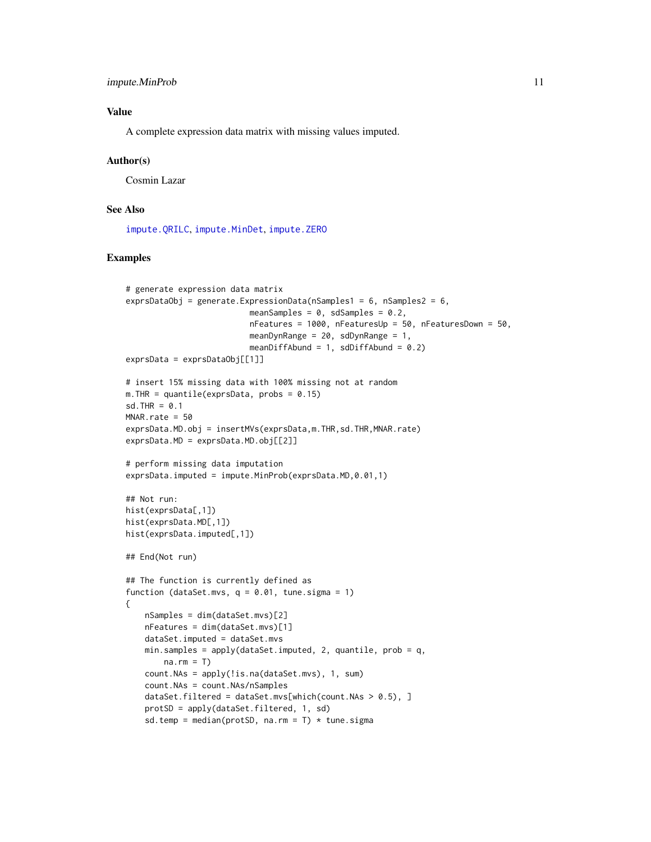# <span id="page-10-0"></span>Value

A complete expression data matrix with missing values imputed.

#### Author(s)

Cosmin Lazar

# See Also

[impute.QRILC](#page-11-1), [impute.MinDet](#page-7-1), [impute.ZERO](#page-17-1)

```
# generate expression data matrix
exprsDataObj = generate.ExpressionData(nSamples1 = 6, nSamples2 = 6,
                          meanSamples = 0, sdSamples = 0.2,
                          nFeatures = 1000, nFeaturesUp = 50, nFeaturesDown = 50,
                          meanDynRange = 20, sdDynRange = 1,
                          meanDiffAbund = 1, sdDiffAbund = 0.2)
exprsData = exprsDataObj[[1]]# insert 15% missing data with 100% missing not at random
m. THR = quantile(exprsData, probs = 0.15)
sd.THR = 0.1MNAR.rate = 50
exprsData.MD.obj = insertMVs(exprsData,m.THR,sd.THR,MNAR.rate)
exprsData.MD = exprsData.MD.obj[2]]
# perform missing data imputation
exprsData.imputed = impute.MinProb(exprsData.MD,0.01,1)
## Not run:
hist(exprsData[,1])
hist(exprsData.MD[,1])
hist(exprsData.imputed[,1])
## End(Not run)
## The function is currently defined as
function (dataSet.mvs, q = 0.01, tune.sigma = 1)
{
    nSamples = dim(dataSet.mvs)[2]
   nFeatures = dim(dataSet.mvs)[1]
    dataSet.imputed = dataSet.mvs
    min.samples = apply(dataSet.imputed, 2, quantile, prob = q,
       na.rm = T)
    count.NAs = apply(!is.na(dataSet.mvs), 1, sum)
    count.NAs = count.NAs/nSamples
    dataSet.filtered = dataSet.mvs[which(count.NAs > 0.5), ]
    protSD = apply(dataSet.filtered, 1, sd)
    sd.temp = median(protSD, na.rm = T) * tune.sigma
```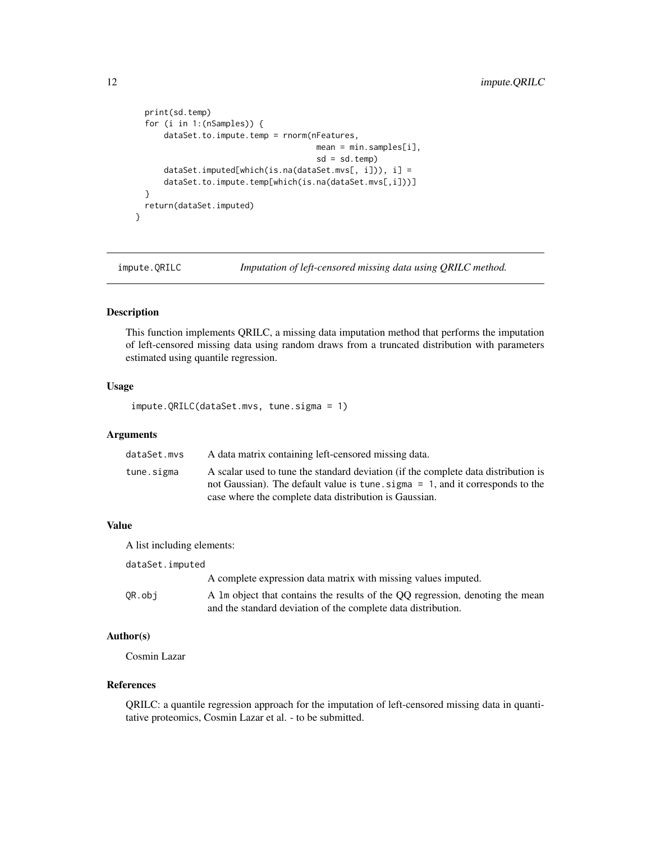```
print(sd.temp)
  for (i in 1:(nSamples)) {
      dataSet.to.impute.temp = rnorm(nFeatures,
                                      mean = min.samples[i],sd = sd.temp)
      dataSet.imputed[which(is.na(dataSet.mvs[, i])), i] =
      dataSet.to.impute.temp[which(is.na(dataSet.mvs[,i]))]
  }
  return(dataSet.imputed)
}
```
<span id="page-11-1"></span>impute.QRILC *Imputation of left-censored missing data using QRILC method.*

#### Description

This function implements QRILC, a missing data imputation method that performs the imputation of left-censored missing data using random draws from a truncated distribution with parameters estimated using quantile regression.

### Usage

impute.QRILC(dataSet.mvs, tune.sigma = 1)

# Arguments

| dataSet.mvs | A data matrix containing left-censored missing data.                               |
|-------------|------------------------------------------------------------------------------------|
| tune.sigma  | A scalar used to tune the standard deviation (if the complete data distribution is |
|             | not Gaussian). The default value is tune, sigma = 1, and it corresponds to the     |
|             | case where the complete data distribution is Gaussian.                             |

# Value

A list including elements:

| dataSet.imputed |                                                                                                                                                |
|-----------------|------------------------------------------------------------------------------------------------------------------------------------------------|
|                 | A complete expression data matrix with missing values imputed.                                                                                 |
| OR.obi          | A 1m object that contains the results of the QQ regression, denoting the mean<br>and the standard deviation of the complete data distribution. |

# Author(s)

Cosmin Lazar

# References

QRILC: a quantile regression approach for the imputation of left-censored missing data in quantitative proteomics, Cosmin Lazar et al. - to be submitted.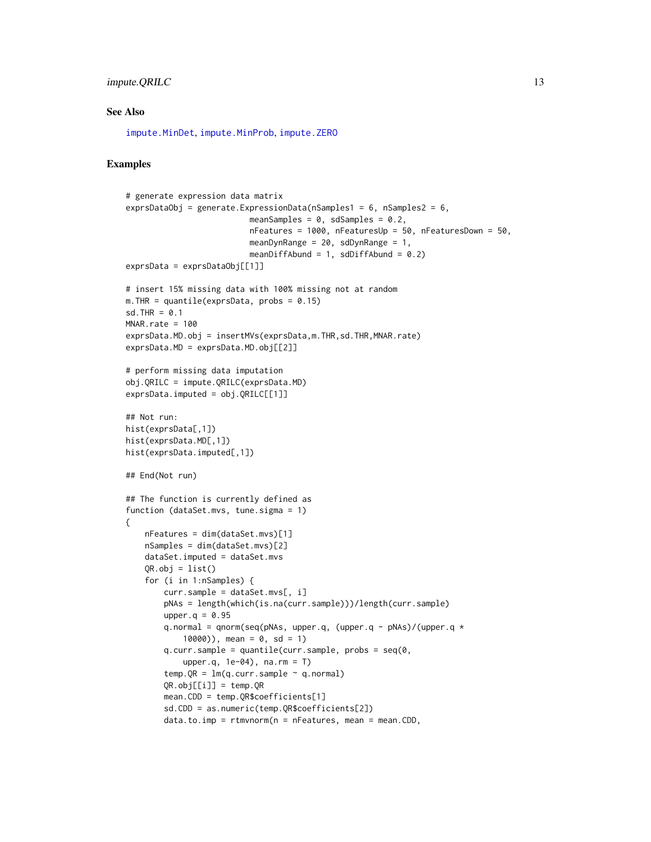# <span id="page-12-0"></span>impute.QRILC 13

#### See Also

[impute.MinDet](#page-7-1), [impute.MinProb](#page-9-1), [impute.ZERO](#page-17-1)

```
# generate expression data matrix
exprsDataObj = generate.ExpressionData(nSamples1 = 6, nSamples2 = 6,
                          meanSamples = 0, sdSamples = 0.2,
                          nFeatures = 1000, nFeaturesUp = 50, nFeaturesDown = 50,
                          meanDynRange = 20, sdDynRange = 1,
                          meanDiffAbund = 1, sdDiffAbund = 0.2)
exprsData = exprsDataObj[[1]]
# insert 15% missing data with 100% missing not at random
m. THR = quantile(exprsData, probs = 0.15)
sd. THR = 0.1MNAR, rate = 100exprsData.MD.obj = insertMVs(exprsData,m.THR,sd.THR,MNAR.rate)
exprsData.MD = exprsData.MD.obj[[2]]
# perform missing data imputation
obj.QRILC = impute.QRILC(exprsData.MD)
exprsData.imputed = obj.QRILC[[1]]
## Not run:
hist(exprsData[,1])
hist(exprsData.MD[,1])
hist(exprsData.imputed[,1])
## End(Not run)
## The function is currently defined as
function (dataSet.mvs, tune.sigma = 1)
{
    nFeatures = dim(dataSet.mvs)[1]
    nSamples = dim(dataSet.mvs)[2]
    dataSet.imputed = dataSet.mvs
    QR.obj = list()for (i in 1:nSamples) {
        curr.sample = dataSet.mvs[, i]
        pNAs = length(which(is.na(curr.sample)))/length(curr.sample)
        upper.q = 0.95q.normal = qnorm(seq(pNAs, upper.q, (upper.q - pNAs)/(upper.q *
            10000), mean = 0, sd = 1)
        q.curr.sample = quantile(curr.sample, probs = seq(0,
            upper.q, 1e-04), na.rm = T)
        temp.QR = lm(q.curr.sample ~ q.normal)QR.obj[[i]] = temp.QRmean.CDD = temp.QR$coefficients[1]
        sd.CDD = as.numeric(temp.QR$coefficients[2])
        data.to.\text{imp} = rtmvnorm(n = nFeatures, mean = mean.CDD,
```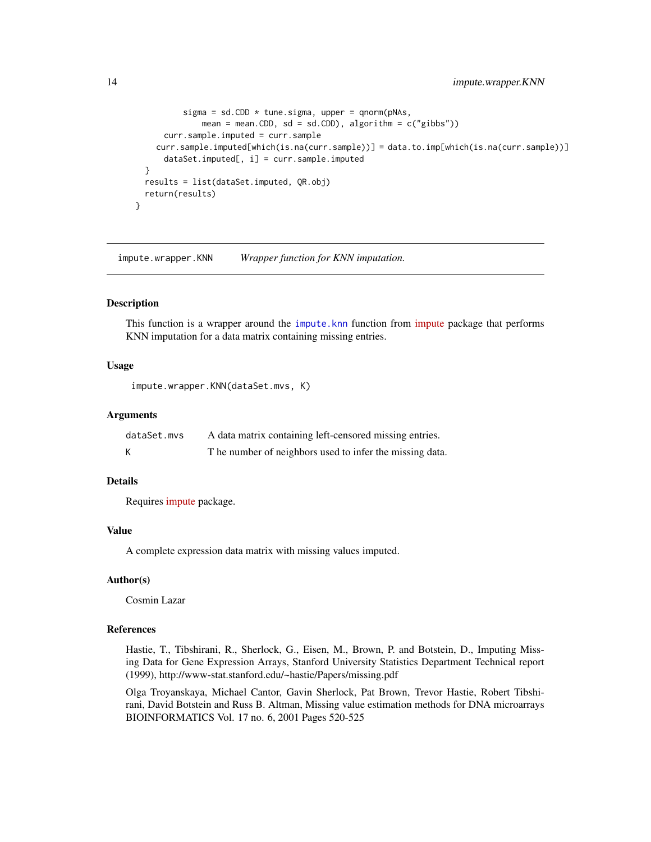```
sigma = sd.CDD * tune.sigma, upper = qnorm(pNAs,mean = mean.CDD, sd = sd.CDD), algorithm = c("gibbs"))curr.sample.imputed = curr.sample
    curr.sample.imputed[which(is.na(curr.sample))] = data.to.imp[which(is.na(curr.sample))]
      dataSet.imputed[, i] = curr.sample.imputed
  }
  results = list(dataSet.imputed, QR.obj)
  return(results)
}
```
<span id="page-13-1"></span>impute.wrapper.KNN *Wrapper function for KNN imputation.*

# Description

This function is a wrapper around the [impute.knn](#page-0-0) function from [impute](http://www.bioconductor.org/packages/release/bioc/manuals/impute/man/impute.pdf) package that performs KNN imputation for a data matrix containing missing entries.

#### Usage

impute.wrapper.KNN(dataSet.mvs, K)

#### Arguments

| dataSet.mvs | A data matrix containing left-censored missing entries.  |
|-------------|----------------------------------------------------------|
|             | T he number of neighbors used to infer the missing data. |

# Details

Requires [impute](http://www.bioconductor.org/packages/release/bioc/manuals/impute/man/impute.pdf) package.

#### Value

A complete expression data matrix with missing values imputed.

#### Author(s)

Cosmin Lazar

#### References

Hastie, T., Tibshirani, R., Sherlock, G., Eisen, M., Brown, P. and Botstein, D., Imputing Missing Data for Gene Expression Arrays, Stanford University Statistics Department Technical report (1999), http://www-stat.stanford.edu/~hastie/Papers/missing.pdf

Olga Troyanskaya, Michael Cantor, Gavin Sherlock, Pat Brown, Trevor Hastie, Robert Tibshirani, David Botstein and Russ B. Altman, Missing value estimation methods for DNA microarrays BIOINFORMATICS Vol. 17 no. 6, 2001 Pages 520-525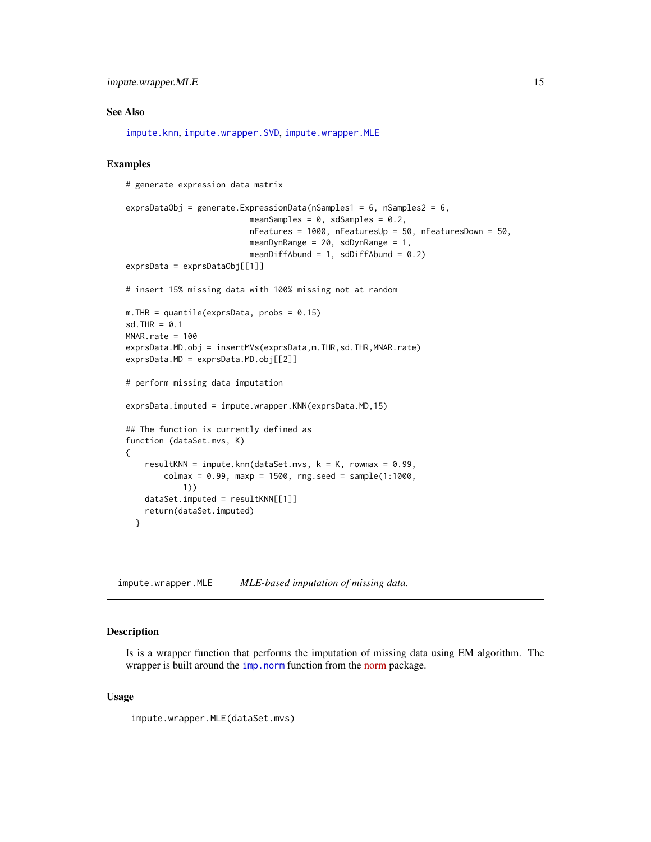# <span id="page-14-0"></span>See Also

[impute.knn](#page-0-0), [impute.wrapper.SVD](#page-16-1), [impute.wrapper.MLE](#page-14-1)

# Examples

# generate expression data matrix

```
exprsDataObj = generate.ExpressionData(nSamples1 = 6, nSamples2 = 6,
                          meanSamples = 0, sdSamples = 0.2,
                          nFeatures = 1000, nFeaturesUp = 50, nFeaturesDown = 50,
                          meanDynRange = 20, sdDynRange = 1,
                          meanDiffAbund = 1, sdDiffAbund = 0.2)
exprsData = exprsDataObj[[1]]
# insert 15% missing data with 100% missing not at random
m. THR = quantile(exprsData, probs = 0.15)
sd.THR = 0.1MNAR.rate = 100
exprsData.MD.obj = insertMVs(exprsData,m.THR,sd.THR,MNAR.rate)
exprsData.MD = exprsData.MD.obj[[2]]
# perform missing data imputation
exprsData.imputed = impute.wrapper.KNN(exprsData.MD,15)
## The function is currently defined as
function (dataSet.mvs, K)
{
    resultKNN = impute.knn(dataSet.mvs, k = K, rowmax = 0.99,
        colmax = 0.99, maxp = 1500, rng.seed = sample(1:1000),
            1))
   dataSet . imported = resultKNN[[1]]return(dataSet.imputed)
 }
```
<span id="page-14-1"></span>impute.wrapper.MLE *MLE-based imputation of missing data.*

# Description

Is is a wrapper function that performs the imputation of missing data using EM algorithm. The wrapper is built around the [imp.norm](#page-0-0) function from the [norm](http://cran.r-project.org/web/packages/norm/norm.pdf) package.

#### Usage

```
impute.wrapper.MLE(dataSet.mvs)
```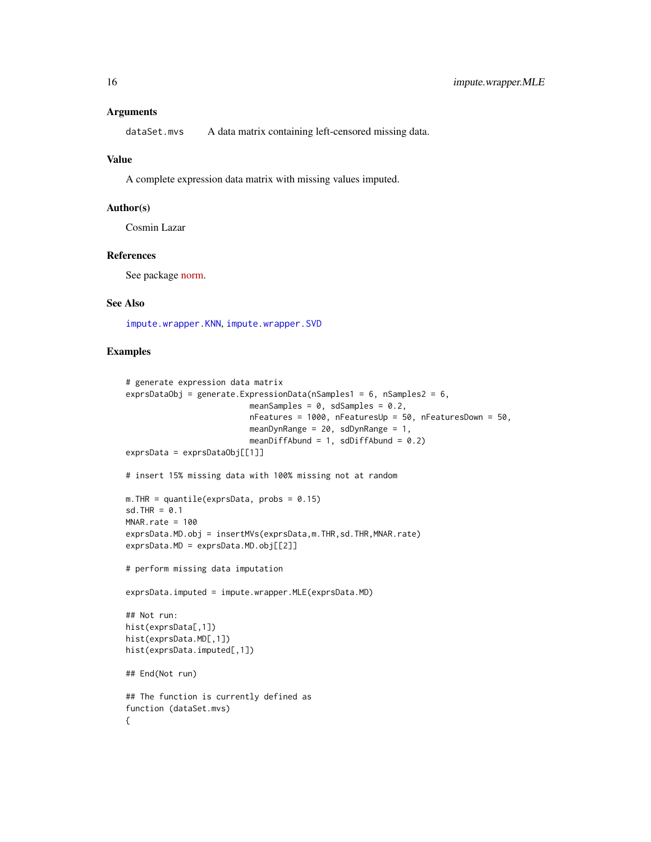#### <span id="page-15-0"></span>Arguments

dataSet.mvs A data matrix containing left-censored missing data.

#### Value

A complete expression data matrix with missing values imputed.

# Author(s)

Cosmin Lazar

#### References

See package [norm.](http://cran.r-project.org/web/packages/norm/norm.pdf)

# See Also

[impute.wrapper.KNN](#page-13-1), [impute.wrapper.SVD](#page-16-1)

```
# generate expression data matrix
exprsDataObj = generate.ExpressionData(nSamples1 = 6, nSamples2 = 6,
                          meanSamples = 0, sdSamples = 0.2,
                          nFeatures = 1000, nFeaturesUp = 50, nFeaturesDown = 50,
                          meanDynRange = 20, sdDynRange = 1,
                          meanDiffAbund = 1, sdDiffAbund = 0.2)
exprsData = exprsDataObj[[1]]
# insert 15% missing data with 100% missing not at random
m. THR = quantile(exprsData, probs = 0.15)
sd.THR = 0.1MNR rate = 100exprsData.MD.obj = insertMVs(exprsData.m.THR.sd.THR.MNAR.rate)
exprsData.MD = exprsData.MD.obj[[2]]
# perform missing data imputation
exprsData.imputed = impute.wrapper.MLE(exprsData.MD)
## Not run:
hist(exprsData[,1])
hist(exprsData.MD[,1])
hist(exprsData.imputed[,1])
## End(Not run)
## The function is currently defined as
function (dataSet.mvs)
{
```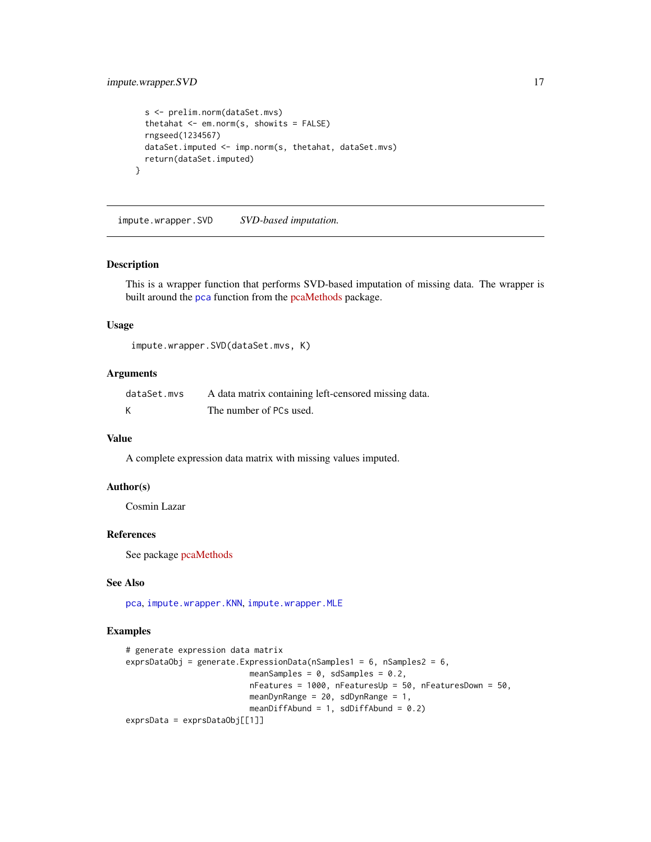# <span id="page-16-0"></span>impute.wrapper.SVD 17

```
s <- prelim.norm(dataSet.mvs)
thetahat \leq em.norm(s, showits = FALSE)
rngseed(1234567)
dataSet.imputed <- imp.norm(s, thetahat, dataSet.mvs)
return(dataSet.imputed)
```
<span id="page-16-1"></span>impute.wrapper.SVD *SVD-based imputation.*

# Description

}

This is a wrapper function that performs SVD-based imputation of missing data. The wrapper is built around the [pca](#page-0-0) function from the [pcaMethods](http://master.bioconductor.org/packages/devel/bioc/vignettes/pcaMethods/inst/doc/missingValues.pdf) package.

#### Usage

impute.wrapper.SVD(dataSet.mvs, K)

# Arguments

| dataSet.mvs | A data matrix containing left-censored missing data. |
|-------------|------------------------------------------------------|
|             | The number of PCs used.                              |

# Value

A complete expression data matrix with missing values imputed.

# Author(s)

Cosmin Lazar

# References

See package [pcaMethods](http://master.bioconductor.org/packages/devel/bioc/vignettes/pcaMethods/inst/doc/missingValues.pdf)

# See Also

[pca](#page-0-0), [impute.wrapper.KNN](#page-13-1), [impute.wrapper.MLE](#page-14-1)

```
# generate expression data matrix
exprsDataObj = generate.ExpressionData(nSamples1 = 6, nSamples2 = 6,
                         meanSamples = 0, sdSamples = 0.2,
                         nFeatures = 1000, nFeaturesUp = 50, nFeaturesDown = 50,
                         meanDynRange = 20, sdDynRange = 1,
                         meanDiffAbund = 1, sdDiffAbund = 0.2)
exprsData = exprsDataObj[[1]]
```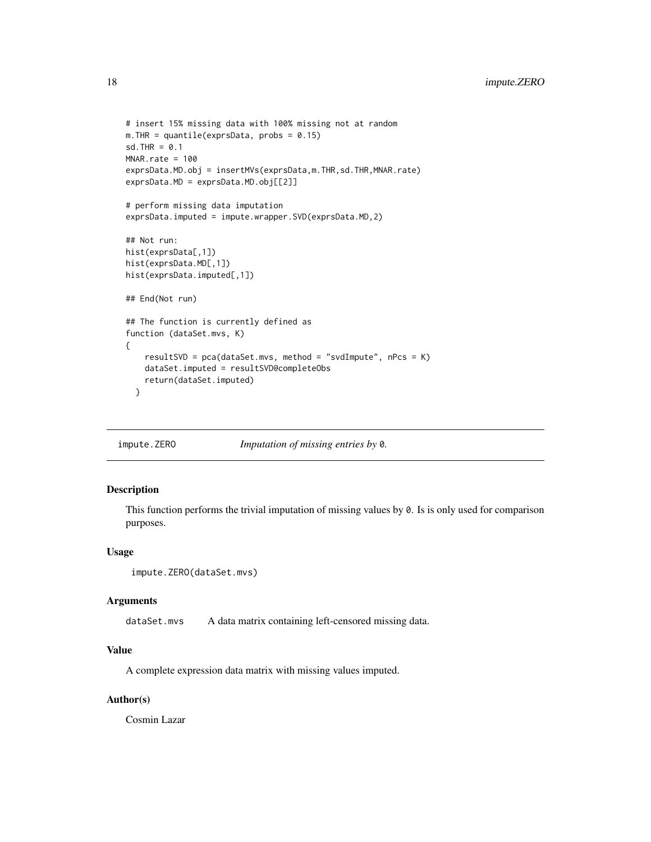```
# insert 15% missing data with 100% missing not at random
m. THR = quantile(exprsData, probs = 0.15)
sd.THR = 0.1MNAR.rate = 100
exprsData.MD.obj = insertMVs(exprsData,m.THR,sd.THR,MNAR.rate)
exprsData.MD = exprsData.MD.obj[[2]]
# perform missing data imputation
exprsData.imputed = impute.wrapper.SVD(exprsData.MD,2)
## Not run:
hist(exprsData[,1])
hist(exprsData.MD[,1])
hist(exprsData.imputed[,1])
## End(Not run)
## The function is currently defined as
function (dataSet.mvs, K)
{
    resultSVD = pca(dataSet.mvs, method = "svdImpute", nPcs = K)dataSet.imputed = resultSVD@completeObs
    return(dataSet.imputed)
  }
```
<span id="page-17-1"></span>impute.ZERO *Imputation of missing entries by* 0*.*

# Description

This function performs the trivial imputation of missing values by 0. Is is only used for comparison purposes.

#### Usage

```
impute.ZERO(dataSet.mvs)
```
#### Arguments

dataSet.mvs A data matrix containing left-censored missing data.

# Value

A complete expression data matrix with missing values imputed.

# Author(s)

Cosmin Lazar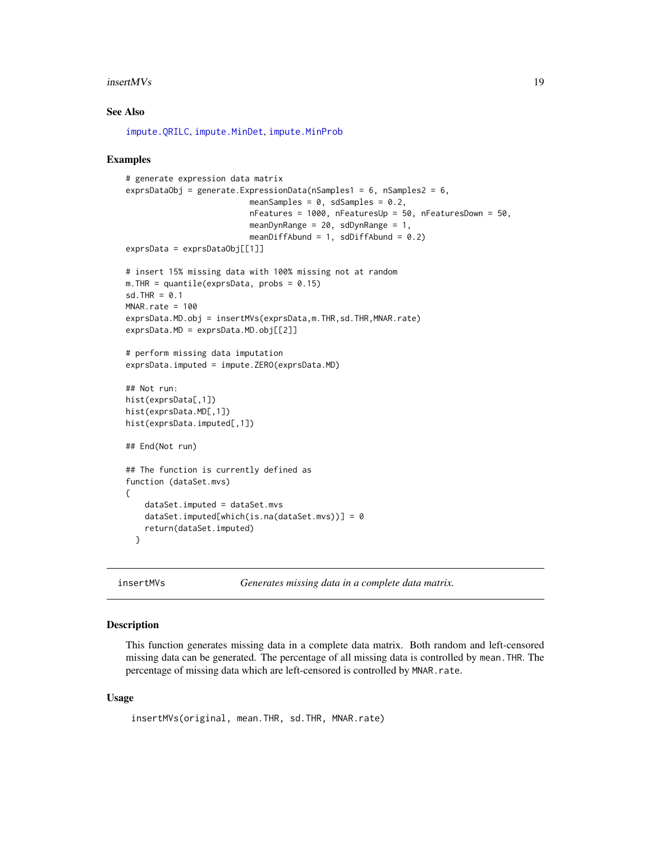#### <span id="page-18-0"></span> $insertMVs$  19

# See Also

[impute.QRILC](#page-11-1), [impute.MinDet](#page-7-1), [impute.MinProb](#page-9-1)

#### Examples

```
# generate expression data matrix
exprsDataObj = generate.ExpressionData(nSamples1 = 6, nSamples2 = 6,
                          meanSamples = 0, sdSamples = 0.2,
                          nFeatures = 1000, nFeaturesUp = 50, nFeaturesDown = 50,
                          meanDynRange = 20, sdDynRange = 1,
                          meanDiffAbund = 1, sdDiffAbund = 0.2)
exprsData = exprsDataObj[[1]]
# insert 15% missing data with 100% missing not at random
m. THR = quantile(exprsData, probs = 0.15)
sd.THR = 0.1MNAR rate = 100exprsData.MD.obj = insertMVs(exprsData,m.THR,sd.THR,MNAR.rate)
exprsData.MD = exprsData.MD.obj[[2]]
# perform missing data imputation
exprsData.imputed = impute.ZERO(exprsData.MD)
## Not run:
hist(exprsData[,1])
hist(exprsData.MD[,1])
hist(exprsData.imputed[,1])
## End(Not run)
## The function is currently defined as
function (dataSet.mvs)
{
    dataSet.imputed = dataSet.mvs
    dataSet.imputed[which(is.na(dataSet.mvs))] = 0
    return(dataSet.imputed)
  }
```
<span id="page-18-1"></span>

insertMVs *Generates missing data in a complete data matrix.*

# Description

This function generates missing data in a complete data matrix. Both random and left-censored missing data can be generated. The percentage of all missing data is controlled by mean.THR. The percentage of missing data which are left-censored is controlled by MNAR.rate.

#### Usage

```
insertMVs(original, mean.THR, sd.THR, MNAR.rate)
```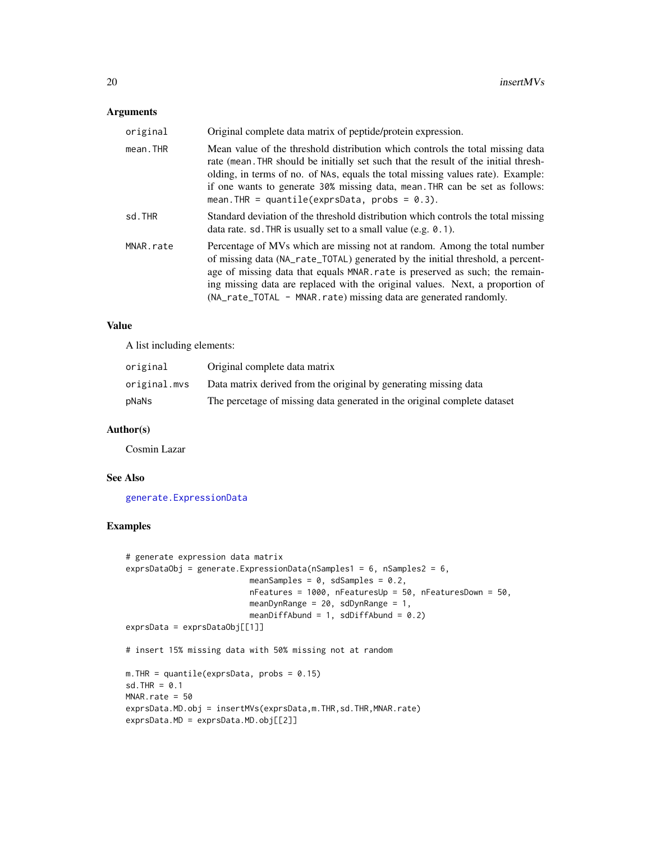# <span id="page-19-0"></span>Arguments

| original  | Original complete data matrix of peptide/protein expression.                                                                                                                                                                                                                                                                                                                                     |
|-----------|--------------------------------------------------------------------------------------------------------------------------------------------------------------------------------------------------------------------------------------------------------------------------------------------------------------------------------------------------------------------------------------------------|
| mean.THR  | Mean value of the threshold distribution which controls the total missing data<br>rate (mean. THR should be initially set such that the result of the initial thresh-<br>olding, in terms of no. of NAs, equals the total missing values rate). Example:<br>if one wants to generate 30% missing data, mean. THR can be set as follows:<br>mean. THR = quantile(exprsData, probs = $0.3$ ).      |
| sd.THR    | Standard deviation of the threshold distribution which controls the total missing<br>data rate. sd. THR is usually set to a small value (e.g. $0.1$ ).                                                                                                                                                                                                                                           |
| MNAR.rate | Percentage of MVs which are missing not at random. Among the total number<br>of missing data (NA_rate_TOTAL) generated by the initial threshold, a percent-<br>age of missing data that equals MNAR. rate is preserved as such; the remain-<br>ing missing data are replaced with the original values. Next, a proportion of<br>(NA_rate_TOTAL – MNAR.rate) missing data are generated randomly. |

#### Value

A list including elements:

| original     | Original complete data matrix                                            |
|--------------|--------------------------------------------------------------------------|
| original.mvs | Data matrix derived from the original by generating missing data         |
| pNaNs        | The percetage of missing data generated in the original complete dataset |

#### Author(s)

Cosmin Lazar

# See Also

[generate.ExpressionData](#page-1-1)

```
# generate expression data matrix
exprsDataObj = generate.ExpressionData(nSamples1 = 6, nSamples2 = 6,
                         meanSamples = 0, sdSamples = 0.2,
                          nFeatures = 1000, nFeaturesUp = 50, nFeaturesDown = 50,
                         meanDynRange = 20, sdDynRange = 1,
                          meanDiffAbund = 1, sdDiffAbund = 0.2)
exprsData = exprsDataObj[[1]]
# insert 15% missing data with 50% missing not at random
m. THR = quantile(exprsData, probs = 0.15)
sd.THR = 0.1MNAR.rate = 50
exprsData.MD.obj = insertMVs(exprsData,m.THR,sd.THR,MNAR.rate)
exprsData.MD = exprsData.MD.obj[[2]]
```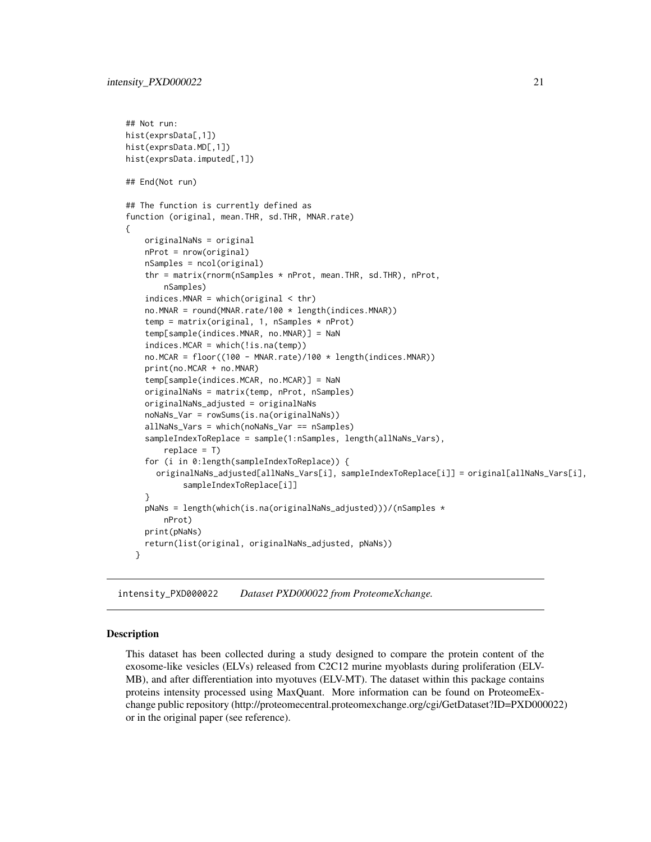```
## Not run:
hist(exprsData[,1])
hist(exprsData.MD[,1])
hist(exprsData.imputed[,1])
## End(Not run)
## The function is currently defined as
function (original, mean.THR, sd.THR, MNAR.rate)
{
    originalNaNs = original
    nProt = nrow(original)
    nSamples = ncol(original)
    thr = matrix(rnorm(nSamples * nProt, mean.THR, sd.THR), nProt,
        nSamples)
    indices.MNAR = which(original < thr)
    no.MNAR = round(MNAR.rate/100 * length(indices.MNAR))
    temp = matrix(original, 1, nSamples * nProt)temp[sample(indices.MNAR, no.MNAR)] = NaN
    indices.MCAR = which(!is.na(temp))
    no.MCAR = floor((100 - MNAR.rate)/100 * length(indices.MNAR))print(no.MCAR + no.MNAR)
    temp[sample(indices.MCAR, no.MCAR)] = NaN
    originalNaNs = matrix(temp, nProt, nSamples)
    originalNaNs_adjusted = originalNaNs
    noNaNs_Var = rowSums(is.na(originalNaNs))
    allNaNs_Vars = which(noNaNs_Var == nSamples)
    sampleIndexToReplace = sample(1:nSamples, length(allNaNs_Vars),
        replace = T)
    for (i in 0:length(sampleIndexToReplace)) {
      originalNaNs_adjusted[allNaNs_Vars[i], sampleIndexToReplace[i]] = original[allNaNs_Vars[i],
            sampleIndexToReplace[i]]
    }
    pNaNs = length(which(is.na(originalNaNs_adjusted)))/(nSamples *
        nProt)
    print(pNaNs)
    return(list(original, originalNaNs_adjusted, pNaNs))
  }
```
intensity\_PXD000022 *Dataset PXD000022 from ProteomeXchange.*

#### Description

This dataset has been collected during a study designed to compare the protein content of the exosome-like vesicles (ELVs) released from C2C12 murine myoblasts during proliferation (ELV-MB), and after differentiation into myotuves (ELV-MT). The dataset within this package contains proteins intensity processed using MaxQuant. More information can be found on ProteomeExchange public repository (http://proteomecentral.proteomexchange.org/cgi/GetDataset?ID=PXD000022) or in the original paper (see reference).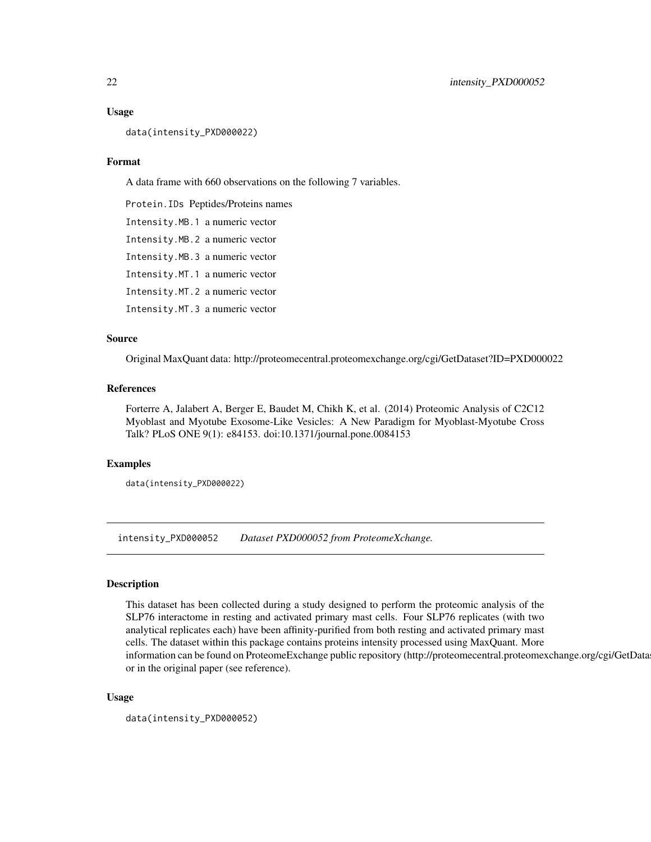#### Usage

data(intensity\_PXD000022)

#### Format

A data frame with 660 observations on the following 7 variables.

Protein.IDs Peptides/Proteins names

Intensity.MB.1 a numeric vector

Intensity.MB.2 a numeric vector

Intensity.MB.3 a numeric vector

Intensity.MT.1 a numeric vector

Intensity.MT.2 a numeric vector

Intensity.MT.3 a numeric vector

#### Source

Original MaxQuant data: http://proteomecentral.proteomexchange.org/cgi/GetDataset?ID=PXD000022

# References

Forterre A, Jalabert A, Berger E, Baudet M, Chikh K, et al. (2014) Proteomic Analysis of C2C12 Myoblast and Myotube Exosome-Like Vesicles: A New Paradigm for Myoblast-Myotube Cross Talk? PLoS ONE 9(1): e84153. doi:10.1371/journal.pone.0084153

#### Examples

```
data(intensity_PXD000022)
```
intensity\_PXD000052 *Dataset PXD000052 from ProteomeXchange.*

# Description

This dataset has been collected during a study designed to perform the proteomic analysis of the SLP76 interactome in resting and activated primary mast cells. Four SLP76 replicates (with two analytical replicates each) have been affinity-purified from both resting and activated primary mast cells. The dataset within this package contains proteins intensity processed using MaxQuant. More information can be found on ProteomeExchange public repository (http://proteomecentral.proteomexchange.org/cgi/GetData or in the original paper (see reference).

#### Usage

```
data(intensity_PXD000052)
```
<span id="page-21-0"></span>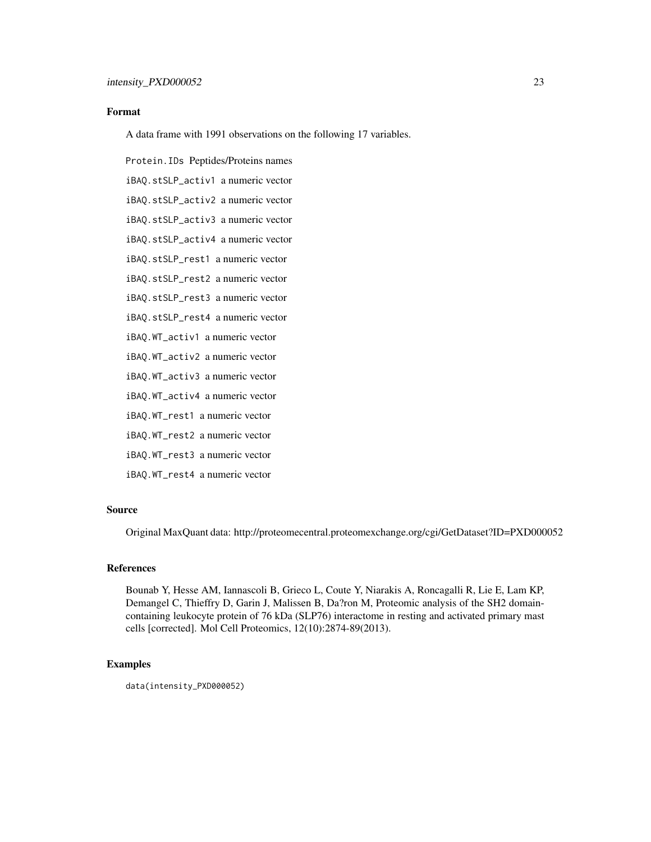# Format

A data frame with 1991 observations on the following 17 variables.

Protein.IDs Peptides/Proteins names iBAQ.stSLP\_activ1 a numeric vector iBAQ.stSLP\_activ2 a numeric vector iBAQ.stSLP\_activ3 a numeric vector iBAQ.stSLP\_activ4 a numeric vector iBAQ.stSLP\_rest1 a numeric vector iBAQ.stSLP\_rest2 a numeric vector iBAQ.stSLP\_rest3 a numeric vector iBAQ.stSLP\_rest4 a numeric vector iBAQ.WT\_activ1 a numeric vector iBAQ.WT\_activ2 a numeric vector iBAQ.WT\_activ3 a numeric vector iBAQ.WT\_activ4 a numeric vector iBAQ.WT\_rest1 a numeric vector iBAQ.WT\_rest2 a numeric vector iBAQ.WT\_rest3 a numeric vector

iBAQ.WT\_rest4 a numeric vector

#### Source

Original MaxQuant data: http://proteomecentral.proteomexchange.org/cgi/GetDataset?ID=PXD000052

# References

Bounab Y, Hesse AM, Iannascoli B, Grieco L, Coute Y, Niarakis A, Roncagalli R, Lie E, Lam KP, Demangel C, Thieffry D, Garin J, Malissen B, Da?ron M, Proteomic analysis of the SH2 domaincontaining leukocyte protein of 76 kDa (SLP76) interactome in resting and activated primary mast cells [corrected]. Mol Cell Proteomics, 12(10):2874-89(2013).

#### Examples

data(intensity\_PXD000052)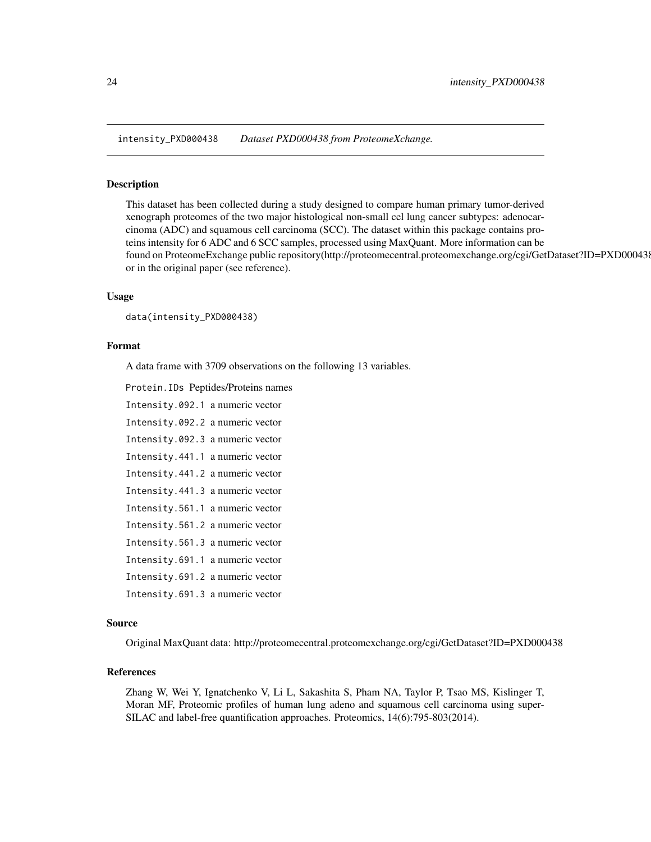<span id="page-23-0"></span>intensity\_PXD000438 *Dataset PXD000438 from ProteomeXchange.*

#### Description

This dataset has been collected during a study designed to compare human primary tumor-derived xenograph proteomes of the two major histological non-small cel lung cancer subtypes: adenocarcinoma (ADC) and squamous cell carcinoma (SCC). The dataset within this package contains proteins intensity for 6 ADC and 6 SCC samples, processed using MaxQuant. More information can be found on ProteomeExchange public repository(http://proteomecentral.proteomexchange.org/cgi/GetDataset?ID=PXD000438) or in the original paper (see reference).

#### Usage

data(intensity\_PXD000438)

# Format

A data frame with 3709 observations on the following 13 variables.

Protein.IDs Peptides/Proteins names

Intensity.092.1 a numeric vector

Intensity.092.2 a numeric vector

Intensity.092.3 a numeric vector

Intensity.441.1 a numeric vector

Intensity.441.2 a numeric vector

Intensity.441.3 a numeric vector

Intensity.561.1 a numeric vector

Intensity.561.2 a numeric vector

Intensity.561.3 a numeric vector

Intensity.691.1 a numeric vector

Intensity.691.2 a numeric vector

Intensity.691.3 a numeric vector

#### Source

Original MaxQuant data: http://proteomecentral.proteomexchange.org/cgi/GetDataset?ID=PXD000438

# References

Zhang W, Wei Y, Ignatchenko V, Li L, Sakashita S, Pham NA, Taylor P, Tsao MS, Kislinger T, Moran MF, Proteomic profiles of human lung adeno and squamous cell carcinoma using super-SILAC and label-free quantification approaches. Proteomics, 14(6):795-803(2014).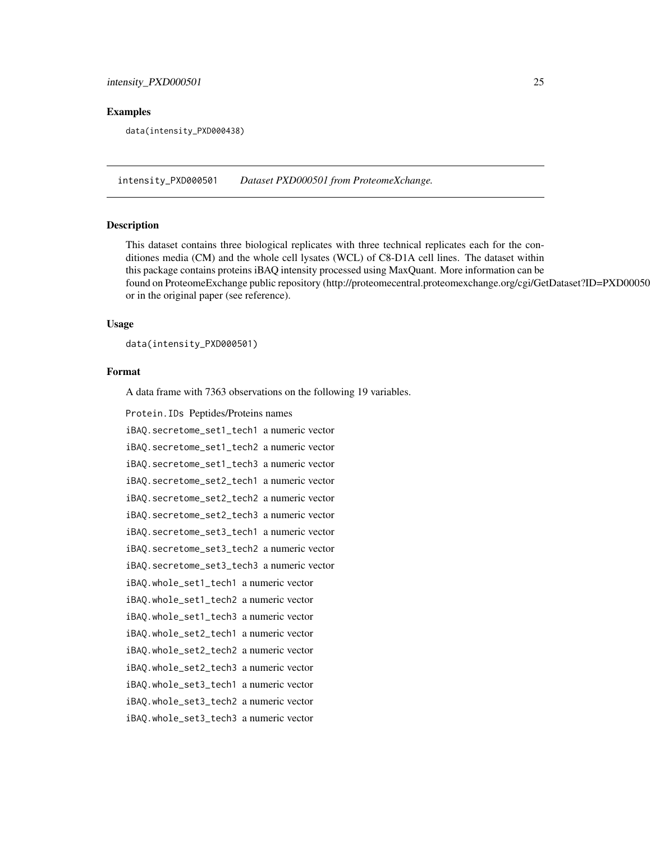#### <span id="page-24-0"></span>Examples

data(intensity\_PXD000438)

intensity\_PXD000501 *Dataset PXD000501 from ProteomeXchange.*

#### Description

This dataset contains three biological replicates with three technical replicates each for the conditiones media (CM) and the whole cell lysates (WCL) of C8-D1A cell lines. The dataset within this package contains proteins iBAQ intensity processed using MaxQuant. More information can be found on ProteomeExchange public repository (http://proteomecentral.proteomexchange.org/cgi/GetDataset?ID=PXD000501) or in the original paper (see reference).

# Usage

data(intensity\_PXD000501)

#### Format

A data frame with 7363 observations on the following 19 variables.

```
Protein.IDs Peptides/Proteins names
```

```
iBAQ.secretome_set1_tech1 a numeric vector
iBAQ.secretome_set1_tech2 a numeric vector
iBAQ.secretome_set1_tech3 a numeric vector
iBAQ.secretome_set2_tech1 a numeric vector
iBAQ.secretome_set2_tech2 a numeric vector
iBAQ.secretome_set2_tech3 a numeric vector
iBAQ.secretome_set3_tech1 a numeric vector
iBAQ.secretome_set3_tech2 a numeric vector
iBAQ.secretome_set3_tech3 a numeric vector
iBAQ.whole_set1_tech1 a numeric vector
iBAQ.whole_set1_tech2 a numeric vector
iBAQ.whole_set1_tech3 a numeric vector
iBAQ.whole_set2_tech1 a numeric vector
iBAQ.whole_set2_tech2 a numeric vector
iBAQ.whole_set2_tech3 a numeric vector
iBAQ.whole_set3_tech1 a numeric vector
iBAQ.whole_set3_tech2 a numeric vector
iBAQ.whole_set3_tech3 a numeric vector
```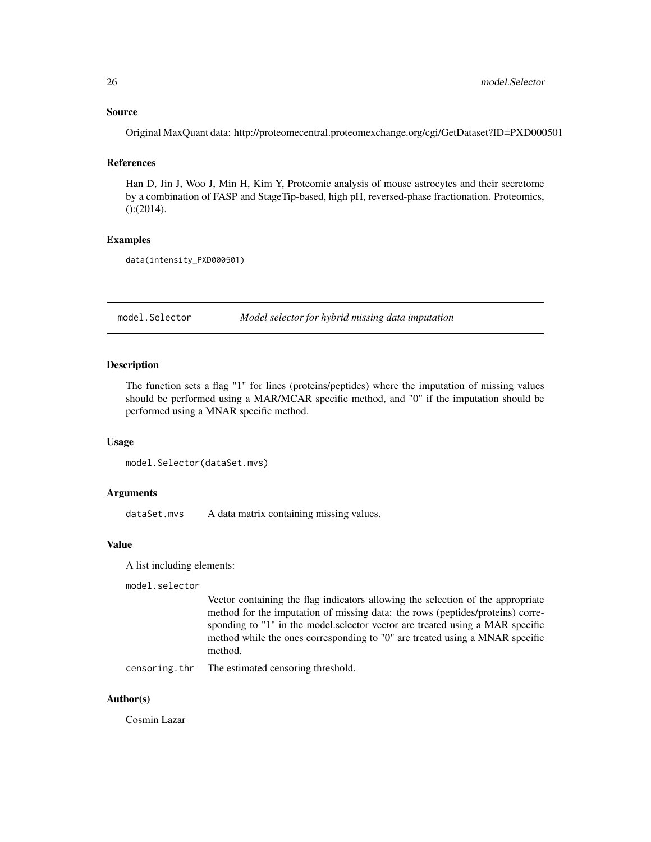#### <span id="page-25-0"></span>Source

Original MaxQuant data: http://proteomecentral.proteomexchange.org/cgi/GetDataset?ID=PXD000501

# References

Han D, Jin J, Woo J, Min H, Kim Y, Proteomic analysis of mouse astrocytes and their secretome by a combination of FASP and StageTip-based, high pH, reversed-phase fractionation. Proteomics, ():(2014).

# Examples

```
data(intensity_PXD000501)
```
<span id="page-25-1"></span>model.Selector *Model selector for hybrid missing data imputation*

#### Description

The function sets a flag "1" for lines (proteins/peptides) where the imputation of missing values should be performed using a MAR/MCAR specific method, and "0" if the imputation should be performed using a MNAR specific method.

#### Usage

```
model.Selector(dataSet.mvs)
```
#### Arguments

dataSet.mvs A data matrix containing missing values.

#### Value

A list including elements:

model.selector

Vector containing the flag indicators allowing the selection of the appropriate method for the imputation of missing data: the rows (peptides/proteins) corresponding to "1" in the model.selector vector are treated using a MAR specific method while the ones corresponding to "0" are treated using a MNAR specific method.

censoring.thr The estimated censoring threshold.

# Author(s)

Cosmin Lazar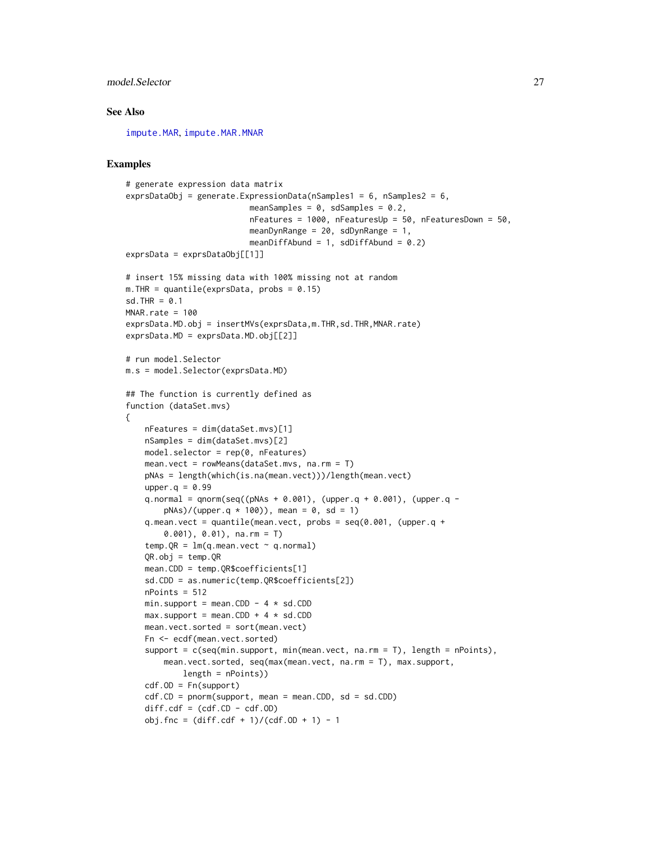# <span id="page-26-0"></span>model.Selector 27

#### See Also

[impute.MAR](#page-4-1), [impute.MAR.MNAR](#page-5-1)

```
# generate expression data matrix
exprsDataObj = generate.ExpressionData(nSamples1 = 6, nSamples2 = 6,
                          meanSamples = 0, sdSamples = 0.2,
                          nFeatures = 1000, nFeaturesUp = 50, nFeaturesDown = 50,
                          meanDynRange = 20, sdDynRange = 1,
                          meanDiffAbund = 1, sdDiffAbund = 0.2)
exprsData = exprsDataObj[[1]]
# insert 15% missing data with 100% missing not at random
m. THR = quantile(exprsData, probs = 0.15)
sd.THR = 0.1MNAR.rate = 100
exprsData.MD.obj = insertMVs(exprsData,m.THR,sd.THR,MNAR.rate)
exprsData.MD = exprsData.MD.obj[[2]]
# run model.Selector
m.s = model.Selector(exprsData.MD)
## The function is currently defined as
function (dataSet.mvs)
{
    nFeatures = dim(dataSet.mvs)[1]
   nSamples = dim(dataSet.mvs)[2]
    model.selector = rep(0, nFeatures)
    mean.vect = rowMeans(dataSet.mvs, na.rm = T)
    pNAs = length(which(is.na(mean.vect)))/length(mean.vect)
    upper.q = 0.99q.normal = qnorm(seq((pNAs + 0.001), (upper.q + 0.001), (upper.q -
        pNAs)/(upper.q * 100)), mean = 0, sd = 1)
    q.mean.vect = quantile(mean.vect, probs = seq(0.001, (upper.q +
        0.001), 0.01), na.rm = T)
    temp.QR = Im(q.mean.vect \sim q.normal)QR.obj = temp.QRmean.CDD = temp.QR$coefficients[1]
    sd.CDD = as.numeric(temp.QR$coefficients[2])
    nPoints = 512
    min.support = mean.CDD - 4 * sd.CDD
   max.support = mean.CDD + 4 * sd.CDDmean.vect.sorted = sort(mean.vect)
    Fn <- ecdf(mean.vect.sorted)
    support = c(seq(min.support, min(mean.vect, na.rm = T), length = nPoints),
        mean.vect.sorted, seq(max(mean.vect, na.rm = T), max.support,
            length = nPoints))
    cdf.OD = Fn(support)
    cdf.CD = pom(support, mean = mean.CDD, sd = sd.CDD)diff.cdf = (cdf.CD - cdf.OD)obj.fnc = (diff.cdf + 1)/(cdf.OD + 1) - 1
```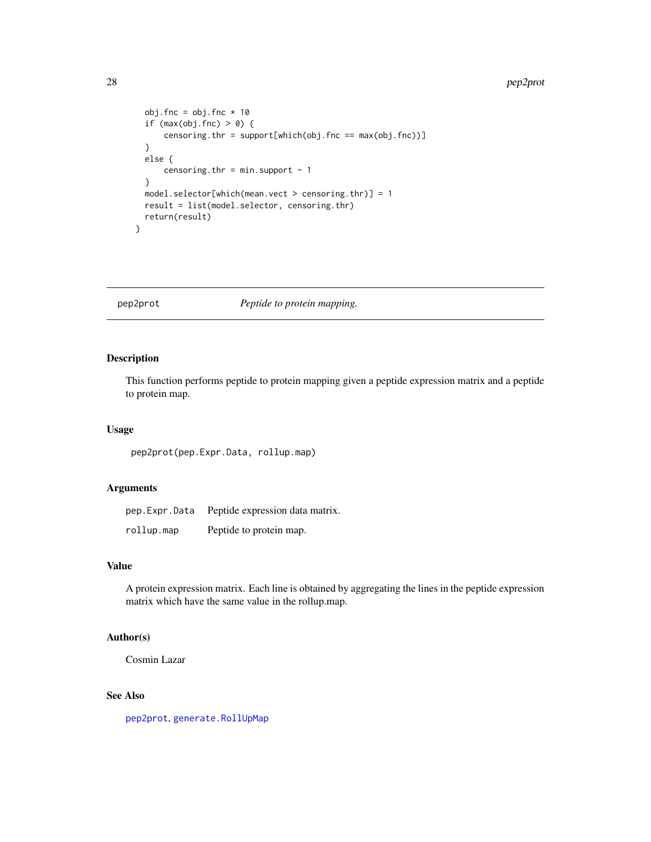#### 28 pep2prot

```
obj.fnc = obj.fnc * 10if (max(obj.fnc) > 0) {
     censoring.thr = support[which(obj.fnc == max(obj.fnc))]
  }
 else {
     censoring.thr = min.support - 1}
 model.selector[which(mean.vect > censoring.thr)] = 1
 result = list(model.selector, censoring.thr)
  return(result)
}
```
<span id="page-27-1"></span>pep2prot *Peptide to protein mapping.*

# Description

This function performs peptide to protein mapping given a peptide expression matrix and a peptide to protein map.

#### Usage

pep2prot(pep.Expr.Data, rollup.map)

#### Arguments

| pep.Expr.Data | Peptide expression data matrix. |
|---------------|---------------------------------|
| rollup.map    | Peptide to protein map.         |

# Value

A protein expression matrix. Each line is obtained by aggregating the lines in the peptide expression matrix which have the same value in the rollup.map.

# Author(s)

Cosmin Lazar

# See Also

[pep2prot](#page-27-1), [generate.RollUpMap](#page-3-1)

<span id="page-27-0"></span>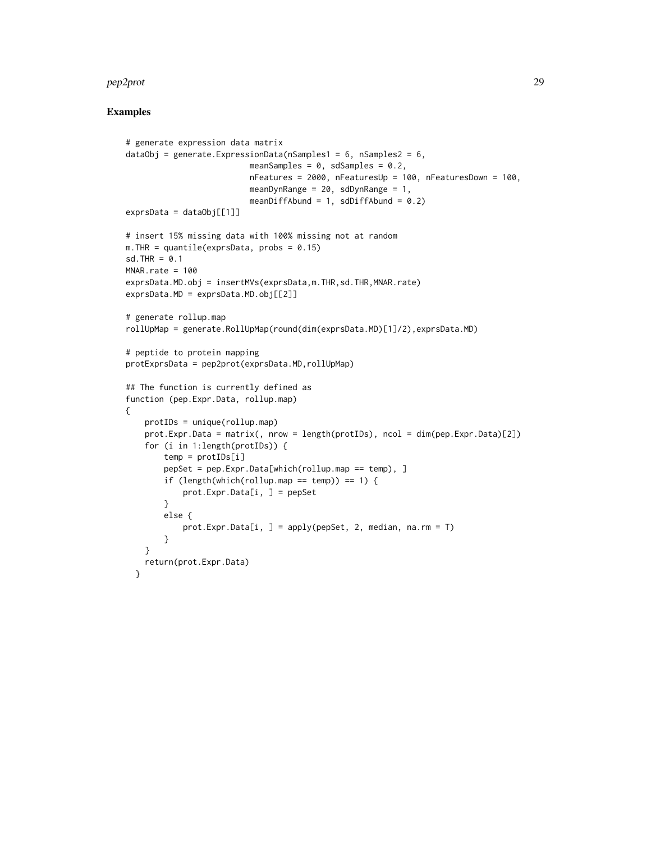#### pep2prot 29

```
# generate expression data matrix
dataObj = generate.ExpressionData(nSamples1 = 6, nSamples2 = 6,
                          meanSamples = 0, sdSamples = 0.2,
                          nFeatures = 2000, nFeaturesUp = 100, nFeaturesDown = 100,
                          meanDynRange = 20, sdDynRange = 1,
                          meanDiffAbund = 1, sdDiffAbund = 0.2)
exprsData = dataObj[[1]]# insert 15% missing data with 100% missing not at random
m. THR = quantile(exprsData, probs = 0.15)
sd.THR = 0.1MNAR.rate = 100
exprsData.MD.obj = insertMVs(exprsData,m.THR,sd.THR,MNAR.rate)
exprsData.MD = exprsData.MD.obj[[2]]
# generate rollup.map
rollUpMap = generate.RollUpMap(round(dim(exprsData.MD)[1]/2),exprsData.MD)
# peptide to protein mapping
protExprsData = pep2prot(exprsData.MD,rollUpMap)
## The function is currently defined as
function (pep.Expr.Data, rollup.map)
{
   protIDs = unique(rollup.map)
   prot.Expr.Data = matrix(, nrow = length(protIDs), ncol = dim(pep.Expr.Data)[2])
    for (i in 1:length(protIDs)) {
       temp = protIDs[i]
        pepSet = pep.Expr.Data[which(rollup.map == temp), ]
        if (length(which(rollup.map == temp)) == 1) {
            prot.Expr.Data[i, ] = pepSet
        }
       else {
            prot.Expr.Data[i, ] = apply(pepSet, 2, median, na.rm = T)
        }
    }
   return(prot.Expr.Data)
  }
```